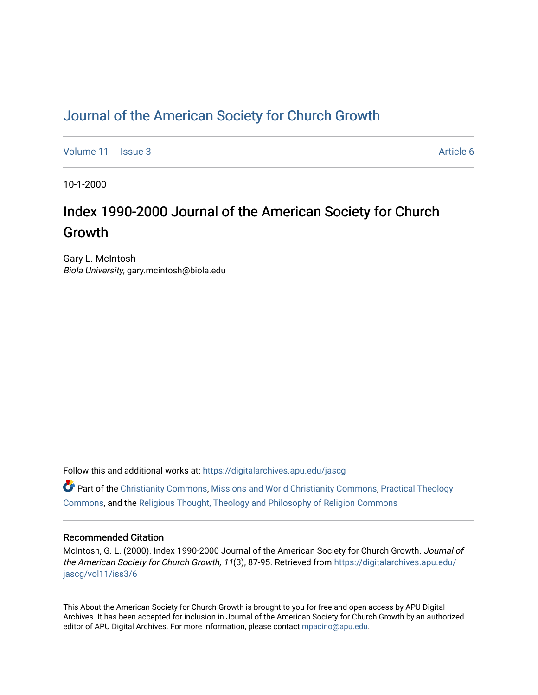## [Journal of the American Society for Church Growth](https://digitalarchives.apu.edu/jascg)

[Volume 11](https://digitalarchives.apu.edu/jascg/vol11) | [Issue 3](https://digitalarchives.apu.edu/jascg/vol11/iss3) Article 6

10-1-2000

# Index 1990-2000 Journal of the American Society for Church Growth

Gary L. McIntosh Biola University, gary.mcintosh@biola.edu

Follow this and additional works at: [https://digitalarchives.apu.edu/jascg](https://digitalarchives.apu.edu/jascg?utm_source=digitalarchives.apu.edu%2Fjascg%2Fvol11%2Fiss3%2F6&utm_medium=PDF&utm_campaign=PDFCoverPages) 

 $\bullet$  Part of the [Christianity Commons,](http://network.bepress.com/hgg/discipline/1181?utm_source=digitalarchives.apu.edu%2Fjascg%2Fvol11%2Fiss3%2F6&utm_medium=PDF&utm_campaign=PDFCoverPages) [Missions and World Christianity Commons](http://network.bepress.com/hgg/discipline/1187?utm_source=digitalarchives.apu.edu%2Fjascg%2Fvol11%2Fiss3%2F6&utm_medium=PDF&utm_campaign=PDFCoverPages), Practical Theology [Commons](http://network.bepress.com/hgg/discipline/1186?utm_source=digitalarchives.apu.edu%2Fjascg%2Fvol11%2Fiss3%2F6&utm_medium=PDF&utm_campaign=PDFCoverPages), and the [Religious Thought, Theology and Philosophy of Religion Commons](http://network.bepress.com/hgg/discipline/544?utm_source=digitalarchives.apu.edu%2Fjascg%2Fvol11%2Fiss3%2F6&utm_medium=PDF&utm_campaign=PDFCoverPages) 

### Recommended Citation

McIntosh, G. L. (2000). Index 1990-2000 Journal of the American Society for Church Growth. Journal of the American Society for Church Growth, 11(3), 87-95. Retrieved from [https://digitalarchives.apu.edu/](https://digitalarchives.apu.edu/jascg/vol11/iss3/6?utm_source=digitalarchives.apu.edu%2Fjascg%2Fvol11%2Fiss3%2F6&utm_medium=PDF&utm_campaign=PDFCoverPages) [jascg/vol11/iss3/6](https://digitalarchives.apu.edu/jascg/vol11/iss3/6?utm_source=digitalarchives.apu.edu%2Fjascg%2Fvol11%2Fiss3%2F6&utm_medium=PDF&utm_campaign=PDFCoverPages)

This About the American Society for Church Growth is brought to you for free and open access by APU Digital Archives. It has been accepted for inclusion in Journal of the American Society for Church Growth by an authorized editor of APU Digital Archives. For more information, please contact [mpacino@apu.edu.](mailto:mpacino@apu.edu)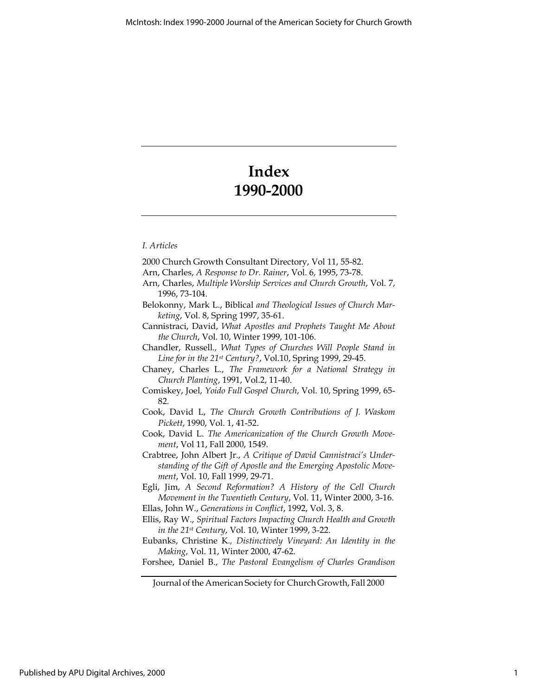# Index 1990-2000

#### I. Articles

2000 Church Growth Consultant Directory, Vol 11, 55-82. Arn, Charles, A Response to Dr. Rainer, Vol. 6, 1995, 73-78. Arn, Charles, Multiple Worship Services and Church Growth, Vol. 7, 1996, 73-104. Belokonny, Mark L., Biblical and Theological Issues of Church Marketing, Vol. 8, Spring 1997, 35-61. Cannistraci, David, What Apostles and Prophets Taught Me About the Church, Vol. 10, Winter 1999, 101-106. Chandler, Russell., What Types of Churches Will People Stand in Line for in the 21st Century?, Vol.10, Spring 1999, 29-45. Chaney, Charles L., The Framework for a National Strategy in Church Planting, 1991, Vol.2, 11-40. Comiskey, Joel, Yoido Full Gospel Church, Vol. 10, Spring 1999, 65- 82. Cook, David L, The Church Growth Contributions of J. Waskom Pickett, 1990, Vol. 1, 41-52. Cook, David L. The Americanization of the Church Growth Movement, Vol 11, Fall 2000, 1549. Crabtree, John Albert Jr., A Critique of David Cannistraci's Understanding of the Gift of Apostle and the Emerging Apostolic Movement, Vol. 10, Fall 1999, 29-71. Egli, Jim, A Second Reformation? A History of the Cell Church Movement in the Twentieth Century, Vol. 11, Winter 2000, 3-16. Ellas, John W., Generations in Conflict, 1992, Vol. 3, 8. Ellis, Ray W., Spiritual Factors Impacting Church Health and Growth in the 21st Century, Vol. 10, Winter 1999, 3-22. Eubanks, Christine K., Distinctively Vineyard: An Identity in the Making, Vol. 11, Winter 2000, 47-62. Forshee, Daniel B., The Pastoral Evangelism of Charles Grandison

Journal of the American Society for Church Growth, Fall 2000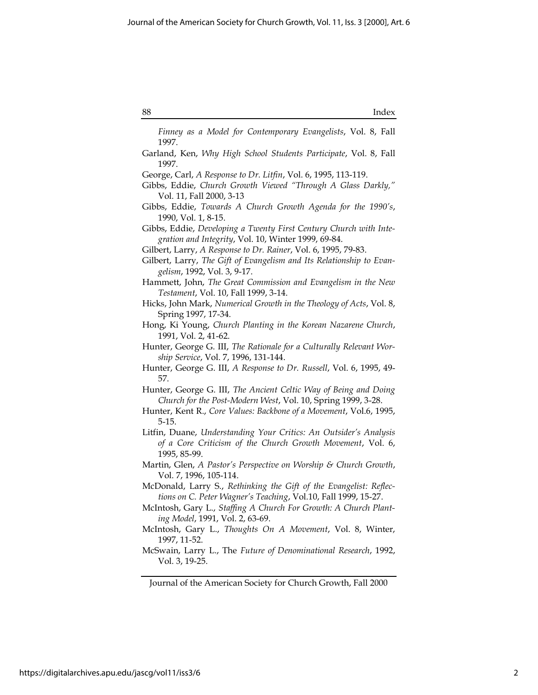| Index |
|-------|
|       |

Finney as a Model for Contemporary Evangelists, Vol. 8, Fall 1997.

Garland, Ken, Why High School Students Participate, Vol. 8, Fall 1997.

- Gibbs, Eddie, Towards A Church Growth Agenda for the 1990's, 1990, Vol. 1, 8-15.
- Gibbs, Eddie, Developing a Twenty First Century Church with Integration and Integrity, Vol. 10, Winter 1999, 69-84.
- Gilbert, Larry, A Response to Dr. Rainer, Vol. 6, 1995, 79-83.
- Gilbert, Larry, The Gift of Evangelism and Its Relationship to Evangelism, 1992, Vol. 3, 9-17.
- Hammett, John, The Great Commission and Evangelism in the New Testament, Vol. 10, Fall 1999, 3-14.
- Hicks, John Mark, Numerical Growth in the Theology of Acts, Vol. 8, Spring 1997, 17-34.
- Hong, Ki Young, Church Planting in the Korean Nazarene Church, 1991, Vol. 2, 41-62.
- Hunter, George G. III, The Rationale for a Culturally Relevant Worship Service, Vol. 7, 1996, 131-144.
- Hunter, George G. III, A Response to Dr. Russell, Vol. 6, 1995, 49- 57.
- Hunter, George G. III, The Ancient Celtic Way of Being and Doing Church for the Post-Modern West, Vol. 10, Spring 1999, 3-28.
- Hunter, Kent R., Core Values: Backbone of a Movement, Vol.6, 1995, 5-15.
- Litfin, Duane, Understanding Your Critics: An Outsider's Analysis of a Core Criticism of the Church Growth Movement, Vol. 6, 1995, 85-99.
- Martin, Glen, A Pastor's Perspective on Worship & Church Growth, Vol. 7, 1996, 105-114.
- McDonald, Larry S., Rethinking the Gift of the Evangelist: Reflections on C. Peter Wagner's Teaching, Vol.10, Fall 1999, 15-27.
- McIntosh, Gary L., Staffing A Church For Growth: A Church Planting Model, 1991, Vol. 2, 63-69.
- McIntosh, Gary L., Thoughts On A Movement, Vol. 8, Winter, 1997, 11-52.
- McSwain, Larry L., The Future of Denominational Research, 1992, Vol. 3, 19-25.

Journal of the American Society for Church Growth, Fall 2000

George, Carl, A Response to Dr. Litfin, Vol. 6, 1995, 113-119.

Gibbs, Eddie, Church Growth Viewed "Through A Glass Darkly," Vol. 11, Fall 2000, 3-13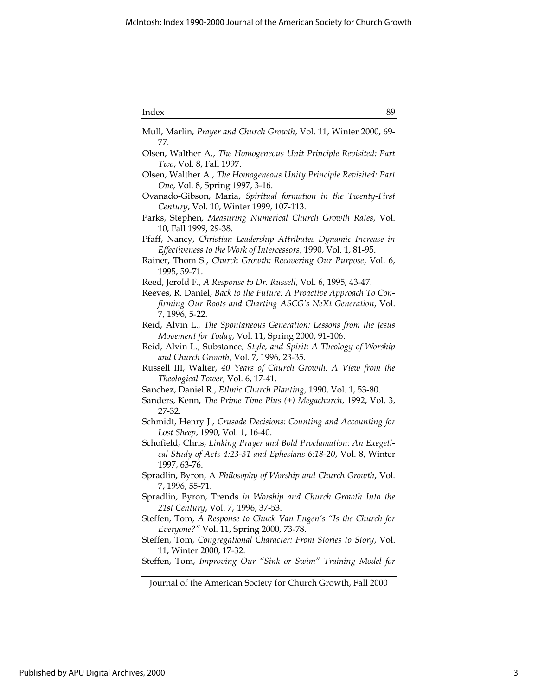| ''<br>ш<br>× |
|--------------|
|--------------|

| Index<br>89                                                                                                                                                                                                              |
|--------------------------------------------------------------------------------------------------------------------------------------------------------------------------------------------------------------------------|
| Mull, Marlin, Prayer and Church Growth, Vol. 11, Winter 2000, 69-<br>77.                                                                                                                                                 |
| Olsen, Walther A., The Homogeneous Unit Principle Revisited: Part<br>Two, Vol. 8, Fall 1997.                                                                                                                             |
| Olsen, Walther A., The Homogeneous Unity Principle Revisited: Part<br>One, Vol. 8, Spring 1997, 3-16.                                                                                                                    |
| Ovanado-Gibson, Maria, Spiritual formation in the Twenty-First<br>Century, Vol. 10, Winter 1999, 107-113.                                                                                                                |
| Parks, Stephen, Measuring Numerical Church Growth Rates, Vol.<br>10, Fall 1999, 29-38.                                                                                                                                   |
| Pfaff, Nancy, Christian Leadership Attributes Dynamic Increase in<br>Effectiveness to the Work of Intercessors, 1990, Vol. 1, 81-95.                                                                                     |
| Rainer, Thom S., Church Growth: Recovering Our Purpose, Vol. 6,<br>1995, 59-71.                                                                                                                                          |
| Reed, Jerold F., A Response to Dr. Russell, Vol. 6, 1995, 43-47.<br>Reeves, R. Daniel, Back to the Future: A Proactive Approach To Con-<br>firming Our Roots and Charting ASCG's NeXt Generation, Vol.<br>7, 1996, 5-22. |
| Reid, Alvin L., The Spontaneous Generation: Lessons from the Jesus<br>Movement for Today, Vol. 11, Spring 2000, 91-106.                                                                                                  |
| Reid, Alvin L., Substance, Style, and Spirit: A Theology of Worship<br>and Church Growth, Vol. 7, 1996, 23-35.                                                                                                           |
| Russell III, Walter, 40 Years of Church Growth: A View from the<br>Theological Tower, Vol. 6, 17-41.                                                                                                                     |
| Sanchez, Daniel R., Ethnic Church Planting, 1990, Vol. 1, 53-80.<br>Sanders, Kenn, The Prime Time Plus (+) Megachurch, 1992, Vol. 3,<br>27-32.                                                                           |
| Schmidt, Henry J., Crusade Decisions: Counting and Accounting for<br>Lost Sheep, 1990, Vol. 1, 16-40.                                                                                                                    |
| Schofield, Chris, Linking Prayer and Bold Proclamation: An Exegeti-<br>cal Study of Acts 4:23-31 and Ephesians 6:18-20, Vol. 8, Winter<br>1997, 63-76.                                                                   |
| Spradlin, Byron, A Philosophy of Worship and Church Growth, Vol.<br>7, 1996, 55-71.                                                                                                                                      |
| Spradlin, Byron, Trends in Worship and Church Growth Into the<br>21st Century, Vol. 7, 1996, 37-53.                                                                                                                      |
| Steffen, Tom, A Response to Chuck Van Engen's "Is the Church for<br>Everyone?" Vol. 11, Spring 2000, 73-78.                                                                                                              |
| Steffen, Tom, Congregational Character: From Stories to Story, Vol.<br>11, Winter 2000, 17-32.                                                                                                                           |
| Steffen, Tom, Improving Our "Sink or Swim" Training Model for                                                                                                                                                            |
| Journal of the American Society for Church Growth, Fall 2000                                                                                                                                                             |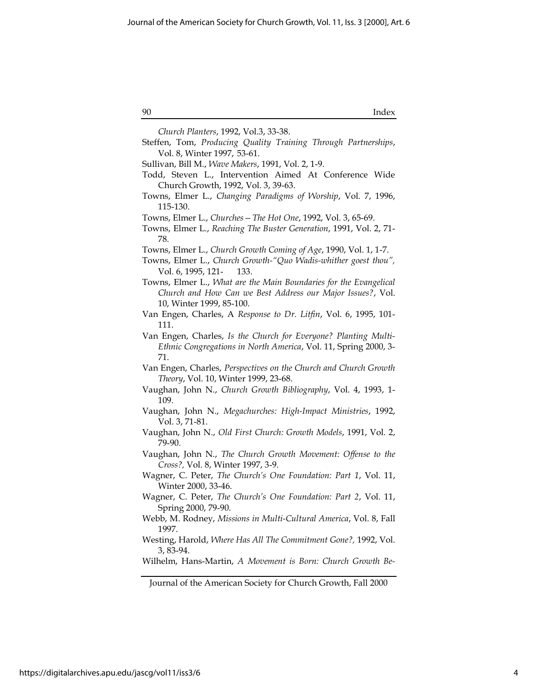90 Index

| Church Planters, 1992, Vol.3, 33-38.                                                                                                      |
|-------------------------------------------------------------------------------------------------------------------------------------------|
| Steffen, Tom, Producing Quality Training Through Partnerships,                                                                            |
| Vol. 8, Winter 1997, 53-61.                                                                                                               |
| Sullivan, Bill M., Wave Makers, 1991, Vol. 2, 1-9.                                                                                        |
| Todd, Steven L., Intervention Aimed At Conference Wide<br>Church Growth, 1992, Vol. 3, 39-63.                                             |
| Towns, Elmer L., Changing Paradigms of Worship, Vol. 7, 1996,                                                                             |
| 115-130.                                                                                                                                  |
| Towns, Elmer L., Churches - The Hot One, 1992, Vol. 3, 65-69.                                                                             |
| Towns, Elmer L., Reaching The Buster Generation, 1991, Vol. 2, 71-                                                                        |
| 78.                                                                                                                                       |
| Towns, Elmer L., Church Growth Coming of Age, 1990, Vol. 1, 1-7.                                                                          |
| Towns, Elmer L., Church Growth-"Quo Wadis-whither goest thou",                                                                            |
| Vol. 6, 1995, 121-<br>133.                                                                                                                |
| Towns, Elmer L., What are the Main Boundaries for the Evangelical                                                                         |
| Church and How Can we Best Address our Major Issues?, Vol.                                                                                |
| 10, Winter 1999, 85-100.                                                                                                                  |
| Van Engen, Charles, A Response to Dr. Litfin, Vol. 6, 1995, 101-                                                                          |
| 111.                                                                                                                                      |
| Van Engen, Charles, Is the Church for Everyone? Planting Multi-<br>Ethnic Congregations in North America, Vol. 11, Spring 2000, 3-<br>71. |
| Van Engen, Charles, Perspectives on the Church and Church Growth                                                                          |
| Theory, Vol. 10, Winter 1999, 23-68.                                                                                                      |
| Vaughan, John N., Church Growth Bibliography, Vol. 4, 1993, 1-                                                                            |
| 109.                                                                                                                                      |
| Vaughan, John N., Megachurches: High-Impact Ministries, 1992,<br>Vol. 3, 71-81.                                                           |
| Vaughan, John N., Old First Church: Growth Models, 1991, Vol. 2,                                                                          |
| 79-90.                                                                                                                                    |
| Vaughan, John N., The Church Growth Movement: Offense to the                                                                              |
| Cross?, Vol. 8, Winter 1997, 3-9.                                                                                                         |
| Wagner, C. Peter, The Church's One Foundation: Part 1, Vol. 11,                                                                           |
| Winter 2000, 33-46.                                                                                                                       |
| Wagner, C. Peter, The Church's One Foundation: Part 2, Vol. 11,<br>Spring 2000, 79-90.                                                    |
| Webb, M. Rodney, Missions in Multi-Cultural America, Vol. 8, Fall                                                                         |
| 1997.                                                                                                                                     |
| Westing, Harold, Where Has All The Commitment Gone?, 1992, Vol.<br>3, 83-94.                                                              |
| Wilhelm, Hans-Martin, A Movement is Born: Church Growth Be-                                                                               |
|                                                                                                                                           |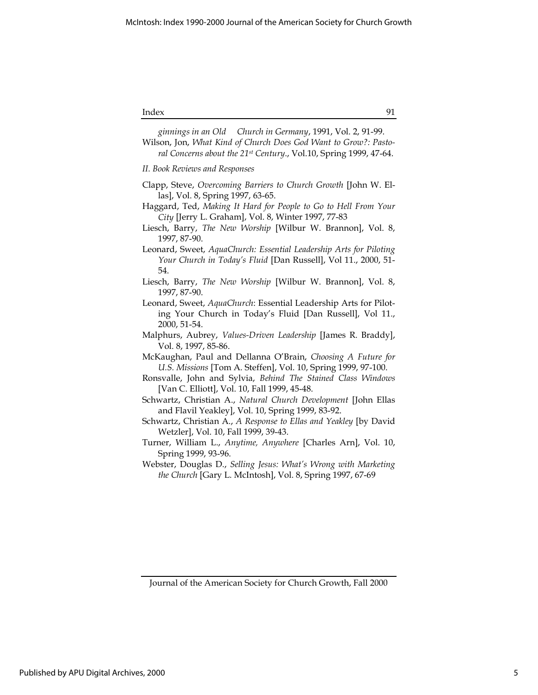#### Index 91

Webster, Douglas D., Selling Jesus: What's Wrong with Marketing the Church [Gary L. McIntosh], Vol. 8, Spring 1997, 67-69

Journal of the American Society for Church Growth, Fall 2000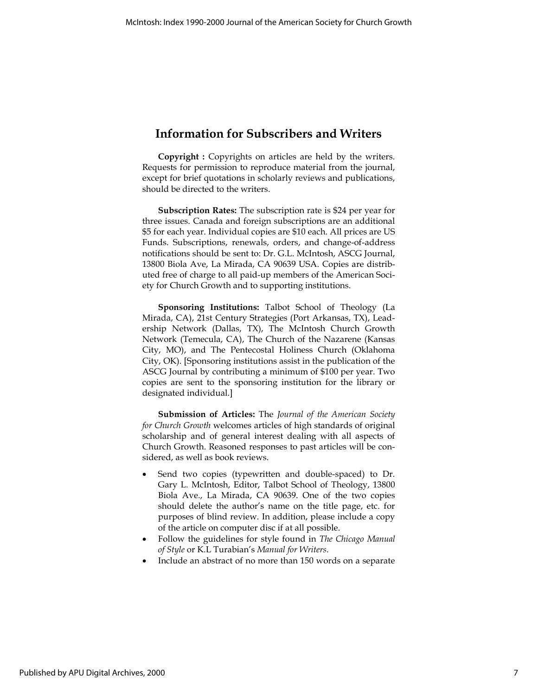### Information for Subscribers and Writers

Copyright : Copyrights on articles are held by the writers. Requests for permission to reproduce material from the journal, except for brief quotations in scholarly reviews and publications, should be directed to the writers.

Subscription Rates: The subscription rate is \$24 per year for three issues. Canada and foreign subscriptions are an additional \$5 for each year. Individual copies are \$10 each. All prices are US Funds. Subscriptions, renewals, orders, and change-of-address notifications should be sent to: Dr. G.L. McIntosh, ASCG Journal, 13800 Biola Ave, La Mirada, CA 90639 USA. Copies are distributed free of charge to all paid-up members of the American Society for Church Growth and to supporting institutions.

Sponsoring Institutions: Talbot School of Theology (La Mirada, CA), 21st Century Strategies (Port Arkansas, TX), Leadership Network (Dallas, TX), The McIntosh Church Growth Network (Temecula, CA), The Church of the Nazarene (Kansas City, MO), and The Pentecostal Holiness Church (Oklahoma City, OK). [Sponsoring institutions assist in the publication of the ASCG Journal by contributing a minimum of \$100 per year. Two copies are sent to the sponsoring institution for the library or designated individual.]

Submission of Articles: The Journal of the American Society for Church Growth welcomes articles of high standards of original scholarship and of general interest dealing with all aspects of Church Growth. Reasoned responses to past articles will be considered, as well as book reviews.

- Send two copies (typewritten and double-spaced) to Dr. Gary L. McIntosh, Editor, Talbot School of Theology, 13800 Biola Ave., La Mirada, CA 90639. One of the two copies should delete the author's name on the title page, etc. for purposes of blind review. In addition, please include a copy of the article on computer disc if at all possible.
- Follow the guidelines for style found in The Chicago Manual of Style or K.L Turabian's Manual for Writers.
- Include an abstract of no more than 150 words on a separate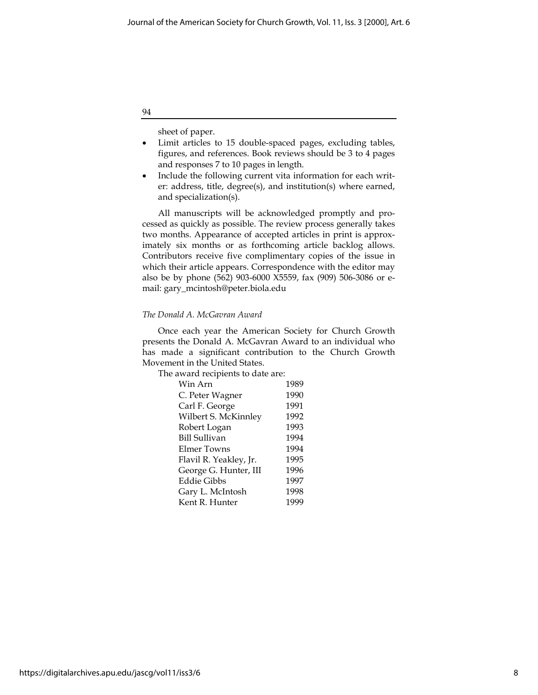94

sheet of paper.

- Limit articles to 15 double-spaced pages, excluding tables, figures, and references. Book reviews should be 3 to 4 pages and responses 7 to 10 pages in length.
- Include the following current vita information for each writer: address, title, degree(s), and institution(s) where earned, and specialization(s).

All manuscripts will be acknowledged promptly and processed as quickly as possible. The review process generally takes two months. Appearance of accepted articles in print is approximately six months or as forthcoming article backlog allows. Contributors receive five complimentary copies of the issue in which their article appears. Correspondence with the editor may also be by phone (562) 903-6000 X5559, fax (909) 506-3086 or email: gary\_mcintosh@peter.biola.edu

#### The Donald A. McGavran Award

Once each year the American Society for Church Growth presents the Donald A. McGavran Award to an individual who has made a significant contribution to the Church Growth Movement in the United States.

The award recipients to date are:

| Win Arn                | 1989 |
|------------------------|------|
| C. Peter Wagner        | 1990 |
| Carl F. George         | 1991 |
| Wilbert S. McKinnley   | 1992 |
| Robert Logan           | 1993 |
| <b>Bill Sullivan</b>   | 1994 |
| Elmer Towns            | 1994 |
| Flavil R. Yeakley, Jr. | 1995 |
| George G. Hunter, III  | 1996 |
| Eddie Gibbs            | 1997 |
| Gary L. McIntosh       | 1998 |
| Kent R. Hunter         | 1999 |
|                        |      |